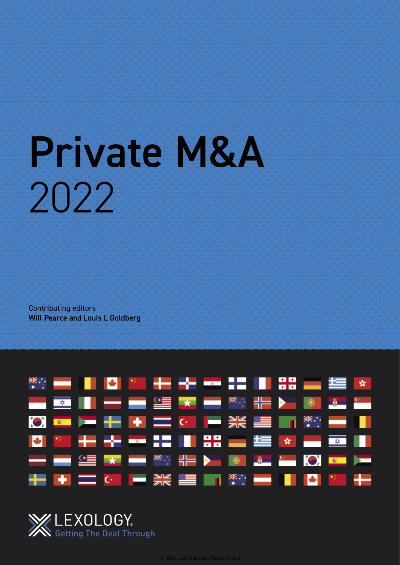# Private M&A 2022

Contributing editors Will Pearce and Louis L Goldberg



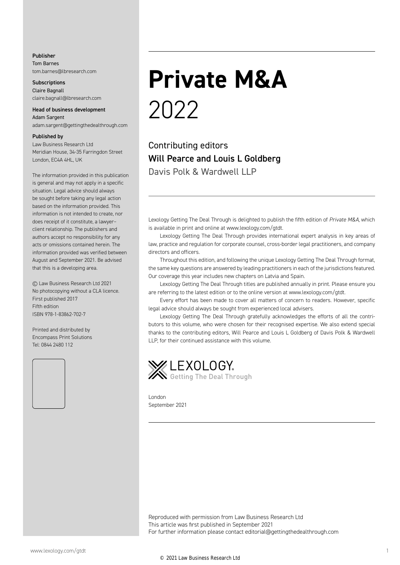#### Publisher

Tom Barnes tom.barnes@lbresearch.com

**Subscriptions** Claire Bagnall claire.bagnall@lbresearch.com

#### Head of business development Adam Sargent

adam.sargent@gettingthedealthrough.com

#### Published by

Law Business Research Ltd Meridian House, 34-35 Farringdon Street London, EC4A 4HL, UK

The information provided in this publication is general and may not apply in a specific situation. Legal advice should always be sought before taking any legal action based on the information provided. This information is not intended to create, nor does receipt of it constitute, a lawyer– client relationship. The publishers and authors accept no responsibility for any acts or omissions contained herein. The information provided was verified between August and September 2021. Be advised that this is a developing area.

© Law Business Research Ltd 2021 No photocopying without a CLA licence. First published 2017 Fifth edition ISBN 978-1-83862-702-7

Printed and distributed by Encompass Print Solutions Tel: 0844 2480 112



### **Private M&A** 2022

Contributing editors Will Pearce and Louis L Goldberg Davis Polk & Wardwell LLP

Lexology Getting The Deal Through is delighted to publish the fifth edition of *Private M&A*, which is available in print and online at www.lexology.com/gtdt.

Lexology Getting The Deal Through provides international expert analysis in key areas of law, practice and regulation for corporate counsel, cross-border legal practitioners, and company directors and officers.

Throughout this edition, and following the unique Lexology Getting The Deal Through format, the same key questions are answered by leading practitioners in each of the jurisdictions featured. Our coverage this year includes new chapters on Latvia and Spain.

Lexology Getting The Deal Through titles are published annually in print. Please ensure you are referring to the latest edition or to the online version at www.lexology.com/gtdt.

Every effort has been made to cover all matters of concern to readers. However, specific legal advice should always be sought from experienced local advisers.

Lexology Getting The Deal Through gratefully acknowledges the efforts of all the contributors to this volume, who were chosen for their recognised expertise. We also extend special thanks to the contributing editors, Will Pearce and Louis L Goldberg of Davis Polk & Wardwell LLP, for their continued assistance with this volume.



London September 2021

Reproduced with permission from Law Business Research Ltd This article was first published in September 2021 For further information please contact editorial@gettingthedealthrough.com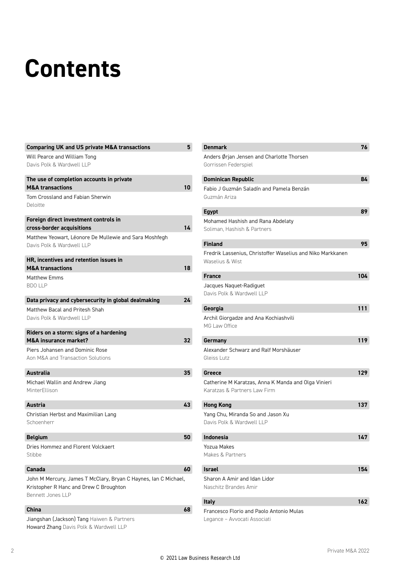## **Contents**

| <b>Comparing UK and US private M&amp;A transactions</b>                             | 5  |
|-------------------------------------------------------------------------------------|----|
| Will Pearce and William Tong                                                        |    |
| Davis Polk & Wardwell LLP                                                           |    |
| The use of completion accounts in private                                           |    |
| <b>M&amp;A transactions</b>                                                         | 10 |
| Tom Crossland and Fabian Sherwin                                                    |    |
| Deloitte                                                                            |    |
| Foreign direct investment controls in                                               |    |
| cross-border acquisitions                                                           | 14 |
| Matthew Yeowart, Léonore De Mullewie and Sara Moshfegh<br>Davis Polk & Wardwell LLP |    |
| HR, incentives and retention issues in                                              |    |
| <b>M&amp;A transactions</b>                                                         | 18 |
| <b>Matthew Emms</b>                                                                 |    |
| <b>BDO LLP</b>                                                                      |    |
| Data privacy and cybersecurity in global dealmaking                                 | 24 |
| Matthew Bacal and Pritesh Shah                                                      |    |
| Davis Polk & Wardwell LLP                                                           |    |
| Riders on a storm: signs of a hardening                                             |    |
| <b>M&amp;A insurance market?</b>                                                    | 32 |
| Piers Johansen and Dominic Rose                                                     |    |
| Aon M&A and Transaction Solutions                                                   |    |
| Australia                                                                           | 35 |
| Michael Wallin and Andrew Jiang                                                     |    |
| MinterEllison                                                                       |    |
|                                                                                     |    |
| <b>Austria</b>                                                                      | 43 |
| Christian Herbst and Maximilian Lang                                                |    |
| Schoenherr                                                                          |    |
| <b>Belgium</b>                                                                      | 50 |
| Dries Hommez and Florent Volckaert                                                  |    |
| Stibbe                                                                              |    |
| Canada                                                                              | 60 |
| John M Mercury, James T McClary, Bryan C Haynes, Ian C Michael,                     |    |
| Kristopher R Hanc and Drew C Broughton                                              |    |
| Bennett Jones LLP                                                                   |    |
|                                                                                     |    |
| <b>China</b>                                                                        | 68 |
| Jiangshan (Jackson) Tang Haiwen & Partners                                          |    |

| <b>Denmark</b>                                                                      | 76  |
|-------------------------------------------------------------------------------------|-----|
| Anders Ørjan Jensen and Charlotte Thorsen<br>Gorrissen Federspiel                   |     |
| <b>Dominican Republic</b>                                                           | 84  |
| Fabio J Guzmán Saladín and Pamela Benzán<br>Guzmán Ariza                            |     |
| <b>Egypt</b>                                                                        | 89  |
| Mohamed Hashish and Rana Abdelaty<br>Soliman, Hashish & Partners                    |     |
| <b>Finland</b>                                                                      | 95  |
| Fredrik Lassenius, Christoffer Waselius and Niko Markkanen<br>Waselius & Wist       |     |
| <b>France</b>                                                                       | 104 |
| Jacques Naquet-Radiguet<br>Davis Polk & Wardwell LLP                                |     |
| Georgia                                                                             | 111 |
| Archil Giorgadze and Ana Kochiashvili<br>MG Law Office                              |     |
| Germany                                                                             | 119 |
| Alexander Schwarz and Ralf Morshäuser<br>Gleiss Lutz                                |     |
| Greece                                                                              | 129 |
| Catherine M Karatzas, Anna K Manda and Olga Vinieri<br>Karatzas & Partners Law Firm |     |
| <b>Hong Kong</b>                                                                    | 137 |
| Yang Chu, Miranda So and Jason Xu<br>Davis Polk & Wardwell LLP                      |     |
| <b>Indonesia</b>                                                                    | 147 |
| Yozua Makes<br>Makes & Partners                                                     |     |
| Israel                                                                              | 154 |
| Sharon A Amir and Idan Lidor<br>Naschitz Brandes Amir                               |     |
| <b>Italy</b>                                                                        | 162 |
| Francesco Florio and Paolo Antonio Mulas                                            |     |

Legance – Avvocati Associati

Howard Zhang Davis Polk & Wardwell LLP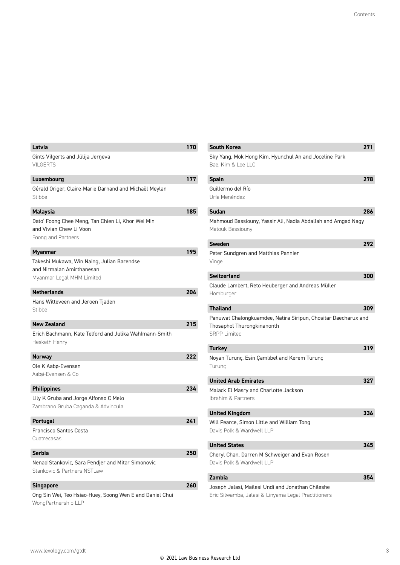| Latvia                                                                                               | 170 |
|------------------------------------------------------------------------------------------------------|-----|
| Gints Vilgerts and Jūlija Jerņeva<br><b>VILGERTS</b>                                                 |     |
| Luxembourg                                                                                           | 177 |
| Gérald Origer, Claire-Marie Darnand and Michaël Meylan<br>Stibbe                                     |     |
| <b>Malaysia</b>                                                                                      | 185 |
| Dato' Foong Chee Meng, Tan Chien Li, Khor Wei Min<br>and Vivian Chew Li Voon<br>Foong and Partners   |     |
| Myanmar                                                                                              | 195 |
| Takeshi Mukawa, Win Naing, Julian Barendse<br>and Nirmalan Amirthanesan<br>Myanmar Legal MHM Limited |     |
| <b>Netherlands</b>                                                                                   | 204 |
| Hans Witteveen and Jeroen Tjaden<br>Stibbe                                                           |     |
| <b>New Zealand</b>                                                                                   | 215 |
| Erich Bachmann, Kate Telford and Julika Wahlmann-Smith<br>Hesketh Henry                              |     |
| Norway                                                                                               | 222 |
| Ole K Aabø-Evensen<br>Aabø-Evensen & Co                                                              |     |
| <b>Philippines</b>                                                                                   | 234 |
| Lily K Gruba and Jorge Alfonso C Melo                                                                |     |
| Zambrano Gruba Caganda & Advincula                                                                   |     |
| <b>Portugal</b>                                                                                      | 241 |
| Francisco Santos Costa                                                                               |     |
| Cuatrecasas                                                                                          |     |
| <b>Serbia</b>                                                                                        | 250 |
| Nenad Stankovic, Sara Pendjer and Mitar Simonovic                                                    |     |
| Stankovic & Partners NSTLaw                                                                          |     |
| Singapore                                                                                            | 260 |
| Ong Sin Wei, Teo Hsiao-Huey, Soong Wen E and Daniel Chui                                             |     |
| WongPartnership LLP                                                                                  |     |

| <b>South Korea</b>                                                                                                  | 271 |
|---------------------------------------------------------------------------------------------------------------------|-----|
| Sky Yang, Mok Hong Kim, Hyunchul An and Joceline Park<br>Bae, Kim & Lee LLC                                         |     |
| <b>Spain</b>                                                                                                        | 278 |
| Guillermo del Río<br>Uría Menéndez                                                                                  |     |
| Sudan                                                                                                               | 286 |
| Mahmoud Bassiouny, Yassir Ali, Nadia Abdallah and Amgad Nagy<br>Matouk Bassiouny                                    |     |
| <b>Sweden</b>                                                                                                       | 292 |
| Peter Sundgren and Matthias Pannier<br>Vinge                                                                        |     |
| <b>Switzerland</b>                                                                                                  | 300 |
| Claude Lambert, Reto Heuberger and Andreas Müller<br>Homburger                                                      |     |
| <b>Thailand</b>                                                                                                     | 309 |
| Panuwat Chalongkuamdee, Natira Siripun, Chositar Daecharux and<br>Thosaphol Thurongkinanonth<br><b>SRPP Limited</b> |     |
| <b>Turkey</b>                                                                                                       | 319 |
| Noyan Turunç, Esin Çamlıbel and Kerem Turunç<br>Turunç                                                              |     |
| <b>United Arab Emirates</b>                                                                                         | 327 |
| Malack El Masry and Charlotte Jackson<br>Ibrahim & Partners                                                         |     |
| <b>United Kingdom</b>                                                                                               | 336 |
| Will Pearce, Simon Little and William Tong<br>Davis Polk & Wardwell LLP                                             |     |
| <b>United States</b>                                                                                                | 345 |
| Cheryl Chan, Darren M Schweiger and Evan Rosen<br>Davis Polk & Wardwell LLP                                         |     |
| <b>Zambia</b>                                                                                                       | 354 |
| Joseph Jalasi, Mailesi Undi and Jonathan Chileshe                                                                   |     |

Eric Silwamba, Jalasi & Linyama Legal Practitioners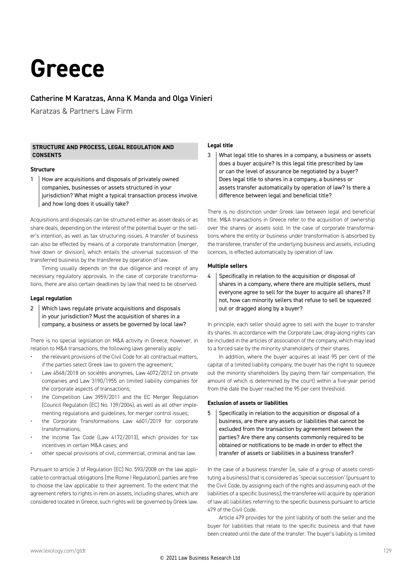### **Greece**

#### Catherine M Karatzas, Anna K Manda and Olga Vinieri

Karatzas & Partners Law Firm

#### **STRUCTURE AND PROCESS, LEGAL REGULATION AND CONSENTS**

#### **Structure**

1 | How are acquisitions and disposals of privately owned companies, businesses or assets structured in your jurisdiction? What might a typical transaction process involve and how long does it usually take?

Acquisitions and disposals can be structured either as asset deals or as share deals, depending on the interest of the potential buyer or the seller's intention, as well as tax structuring issues. A transfer of business can also be effected by means of a corporate transformation (merger, hive down or division), which entails the universal succession of the transferred business by the transferee by operation of law.

Timing usually depends on the due diligence and receipt of any necessary regulatory approvals. In the case of corporate transformations, there are also certain deadlines by law that need to be observed.

#### **Legal regulation**

2 Which laws regulate private acquisitions and disposals in your jurisdiction? Must the acquisition of shares in a company, a business or assets be governed by local law?

There is no special legislation on M&A activity in Greece; however, in relation to M&A transactions, the following laws generally apply:

- the relevant provisions of the Civil Code for all contractual matters, if the parties select Greek law to govern the agreement;
- Law 4548/2018 on sociétés anonymes, Law 4072/2012 on private companies and Law 3190/1955 on limited liability companies for the corporate aspects of transactions;
- the Competition Law 3959/2011 and the EC Merger Regulation (Council Regulation (EC) No. 139/2004), as well as all other implementing regulations and guidelines, for merger control issues;
- the Corporate Transformations Law 4601/2019 for corporate transformations;
- the Income Tax Code (Law 4172/2013), which provides for tax incentives in certain M&A cases; and
- other special provisions of civil, commercial, criminal and tax law.

Pursuant to article 3 of Regulation (EC) No. 593/2008 on the law applicable to contractual obligations (the Rome I Regulation), parties are free to choose the law applicable to their agreement. To the extent that the agreement refers to rights in rem on assets, including shares, which are considered located in Greece, such rights will be governed by Greek law.

#### **Legal title**

3 What legal title to shares in a company, a business or assets does a buyer acquire? Is this legal title prescribed by law or can the level of assurance be negotiated by a buyer? Does legal title to shares in a company, a business or assets transfer automatically by operation of law? Is there a difference between legal and beneficial title?

There is no distinction under Greek law between legal and beneficial title. M&A transactions in Greece refer to the acquisition of ownership over the shares or assets sold. In the case of corporate transformations where the entity or business under transformation is absorbed by the transferee, transfer of the underlying business and assets, including licences, is effected automatically by operation of law.

#### **Multiple sellers**

 $4$  Specifically in relation to the acquisition or disposal of shares in a company, where there are multiple sellers, must everyone agree to sell for the buyer to acquire all shares? If not, how can minority sellers that refuse to sell be squeezed out or dragged along by a buyer?

In principle, each seller should agree to sell with the buyer to transfer its shares. In accordance with the Corporate Law, drag-along rights can be included in the articles of association of the company, which may lead to a forced sale by the minority shareholders of their shares.

In addition, where the buyer acquires at least 95 per cent of the capital of a limited liability company, the buyer has the right to squeeze out the minority shareholders (by paying them fair compensation, the amount of which is determined by the court) within a five-year period from the date the buyer reached the 95 per cent threshold.

#### **Exclusion of assets or liabilities**

 $5$  Specifically in relation to the acquisition or disposal of a business, are there any assets or liabilities that cannot be excluded from the transaction by agreement between the parties? Are there any consents commonly required to be obtained or notifications to be made in order to effect the transfer of assets or liabilities in a business transfer?

In the case of a business transfer (ie, sale of a group of assets constituting a business) that is considered as 'special succession' (pursuant to the Civil Code, by assigning each of the rights and assuming each of the liabilities of a specific business), the transferee will acquire by operation of law all liabilities referring to the specific business pursuant to article 479 of the Civil Code.

Article 479 provides for the joint liability of both the seller and the buyer for liabilities that relate to the specific business and that have been created until the date of the transfer. The buyer's liability is limited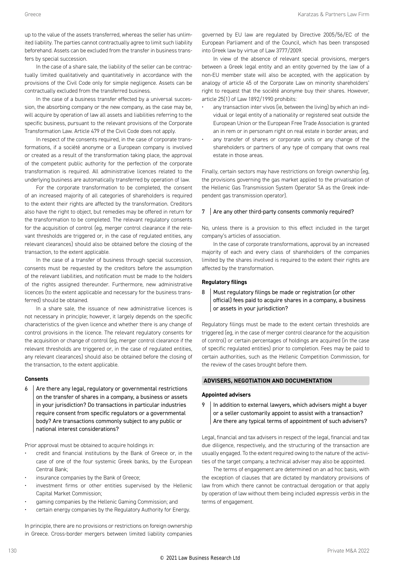up to the value of the assets transferred, whereas the seller has unlimited liability. The parties cannot contractually agree to limit such liability beforehand. Assets can be excluded from the transfer in business transfers by special succession.

In the case of a share sale, the liability of the seller can be contractually limited qualitatively and quantitatively in accordance with the provisions of the Civil Code only for simple negligence. Assets can be contractually excluded from the transferred business.

In the case of a business transfer effected by a universal succession, the absorbing company or the new company, as the case may be, will acquire by operation of law all assets and liabilities referring to the specific business, pursuant to the relevant provisions of the Corporate Transformation Law. Article 479 of the Civil Code does not apply.

In respect of the consents required, in the case of corporate transformations, if a société anonyme or a European company is involved or created as a result of the transformation taking place, the approval of the competent public authority for the perfection of the corporate transformation is required. All administrative licences related to the underlying business are automatically transferred by operation of law.

For the corporate transformation to be completed, the consent of an increased majority of all categories of shareholders is required to the extent their rights are affected by the transformation. Creditors also have the right to object, but remedies may be offered in return for the transformation to be completed. The relevant regulatory consents for the acquisition of control (eg, merger control clearance if the relevant thresholds are triggered or, in the case of regulated entities, any relevant clearances) should also be obtained before the closing of the transaction, to the extent applicable.

In the case of a transfer of business through special succession, consents must be requested by the creditors before the assumption of the relevant liabilities, and notification must be made to the holders of the rights assigned thereunder. Furthermore, new administrative licences (to the extent applicable and necessary for the business transferred) should be obtained.

In a share sale, the issuance of new administrative licences is not necessary in principle; however, it largely depends on the specific characteristics of the given licence and whether there is any change of control provisions in the licence. The relevant regulatory consents for the acquisition or change of control (eg, merger control clearance if the relevant thresholds are triggered or, in the case of regulated entities, any relevant clearances) should also be obtained before the closing of the transaction, to the extent applicable.

#### **Consents**

 $6$  Are there any legal, regulatory or governmental restrictions on the transfer of shares in a company, a business or assets in your jurisdiction? Do transactions in particular industries require consent from specific regulators or a governmental body? Are transactions commonly subject to any public or national interest considerations?

Prior approval must be obtained to acquire holdings in:

- credit and financial institutions by the Bank of Greece or, in the case of one of the four systemic Greek banks, by the European Central Bank;
- insurance companies by the Bank of Greece;
- investment firms or other entities supervised by the Hellenic Capital Market Commission;
- gaming companies by the Hellenic Gaming Commission; and
- certain energy companies by the Regulatory Authority for Energy.

In principle, there are no provisions or restrictions on foreign ownership in Greece. Cross-border mergers between limited liability companies

governed by EU law are regulated by Directive 2005/56/EC of the European Parliament and of the Council, which has been transposed into Greek law by virtue of Law 3777/2009.

In view of the absence of relevant special provisions, mergers between a Greek legal entity and an entity governed by the law of a non-EU member state will also be accepted, with the application by analogy of article 45 of the Corporate Law on minority shareholders' right to request that the société anonyme buy their shares. However, article 25(1) of Law 1892/1990 prohibits:

- any transaction inter vivos (ie, between the living) by which an individual or legal entity of a nationality or registered seat outside the European Union or the European Free Trade Association is granted an in rem or in personam right on real estate in border areas; and
- any transfer of shares or corporate units or any change of the shareholders or partners of any type of company that owns real estate in those areas.

Finally, certain sectors may have restrictions on foreign ownership (eg, the provisions governing the gas market applied to the privatisation of the Hellenic Gas Transmission System Operator SA as the Greek independent gas transmission operator).

#### $7$  Are any other third-party consents commonly required?

No, unless there is a provision to this effect included in the target company's articles of association.

In the case of corporate transformations, approval by an increased majority of each and every class of shareholders of the companies limited by the shares involved is required to the extent their rights are affected by the transformation.

#### **Regulatory filings**

8 Must regulatory filings be made or registration (or other official) fees paid to acquire shares in a company, a business or assets in your jurisdiction?

Regulatory filings must be made to the extent certain thresholds are triggered (eg, in the case of merger control clearance for the acquisition of control) or certain percentages of holdings are acquired (in the case of specific regulated entities) prior to completion. Fees may be paid to certain authorities, such as the Hellenic Competition Commission, for the review of the cases brought before them.

#### **ADVISERS, NEGOTIATION AND DOCUMENTATION**

#### **Appointed advisers**

 $9$  | In addition to external lawyers, which advisers might a buyer or a seller customarily appoint to assist with a transaction? Are there any typical terms of appointment of such advisers?

Legal, financial and tax advisers in respect of the legal, financial and tax due diligence, respectively, and the structuring of the transaction are usually engaged. To the extent required owing to the nature of the activities of the target company, a technical adviser may also be appointed.

The terms of engagement are determined on an ad hoc basis, with the exception of clauses that are dictated by mandatory provisions of law from which there cannot be contractual derogation or that apply by operation of law without them being included *expressis verbis* in the terms of engagement.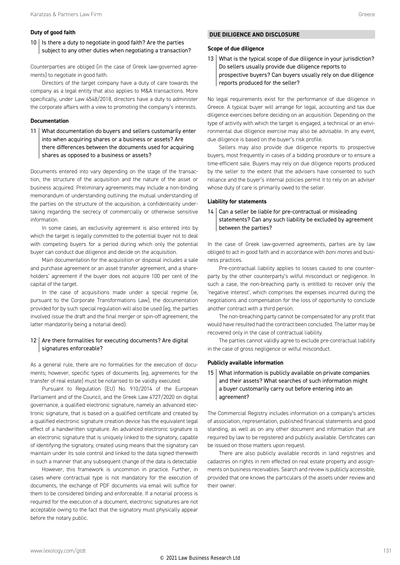#### **Duty of good faith**

 $10$  | Is there a duty to negotiate in good faith? Are the parties subject to any other duties when negotiating a transaction?

Counterparties are obliged (in the case of Greek law-governed agreements) to negotiate in good faith.

Directors of the target company have a duty of care towards the company as a legal entity that also applies to M&A transactions. More specifically, under Law 4548/2018, directors have a duty to administer the corporate affairs with a view to promoting the company's interests.

#### **Documentation**

11 What documentation do buyers and sellers customarily enter into when acquiring shares or a business or assets? Are there differences between the documents used for acquiring shares as opposed to a business or assets?

Documents entered into vary depending on the stage of the transaction, the structure of the acquisition and the nature of the asset or business acquired. Preliminary agreements may include a non-binding memorandum of understanding outlining the mutual understanding of the parties on the structure of the acquisition, a confidentiality undertaking regarding the secrecy of commercially or otherwise sensitive information.

In some cases, an exclusivity agreement is also entered into by which the target is legally committed to the potential buyer not to deal with competing buyers for a period during which only the potential buyer can conduct due diligence and decide on the acquisition.

Main documentation for the acquisition or disposal includes a sale and purchase agreement or an asset transfer agreement, and a shareholders' agreement if the buyer does not acquire 100 per cent of the capital of the target.

In the case of acquisitions made under a special regime (ie, pursuant to the Corporate Transformations Law), the documentation provided for by such special regulation will also be used (eg, the parties involved issue the draft and the final merger or spin-off agreement, the latter mandatorily being a notarial deed).

#### $12$  Are there formalities for executing documents? Are digital signatures enforceable?

As a general rule, there are no formalities for the execution of documents; however, specific types of documents (eg, agreements for the transfer of real estate) must be notarised to be validly executed.

Pursuant to Regulation (EU) No. 910/2014 of the European Parliament and of the Council, and the Greek Law 4727/2020 on digital governance, a qualified electronic signature, namely an advanced electronic signature, that is based on a qualified certificate and created by a qualified electronic signature creation device has the equivalent legal effect of a handwritten signature. An advanced electronic signature is an electronic signature that is uniquely linked to the signatory, capable of identifying the signatory, created using means that the signatory can maintain under its sole control and linked to the data signed therewith in such a manner that any subsequent change of the data is detectable

However, this framework is uncommon in practice. Further, in cases where contractual type is not mandatory for the execution of documents, the exchange of PDF documents via email will suffice for them to be considered binding and enforceable. If a notarial process is required for the execution of a document, electronic signatures are not acceptable owing to the fact that the signatory must physically appear before the notary public.

#### **DUE DILIGENCE AND DISCLOSURE**

#### **Scope of due diligence**

13 What is the typical scope of due diligence in your jurisdiction? Do sellers usually provide due diligence reports to prospective buyers? Can buyers usually rely on due diligence reports produced for the seller?

No legal requirements exist for the performance of due diligence in Greece. A typical buyer will arrange for legal, accounting and tax due diligence exercises before deciding on an acquisition. Depending on the type of activity with which the target is engaged, a technical or an environmental due diligence exercise may also be advisable. In any event, due diligence is based on the buyer's risk profile.

Sellers may also provide due diligence reports to prospective buyers, most frequently in cases of a bidding procedure or to ensure a time-efficient sale. Buyers may rely on due diligence reports produced by the seller to the extent that the advisers have consented to such reliance and the buyer's internal policies permit it to rely on an adviser whose duty of care is primarily owed to the seller.

#### **Liability for statements**

14 | Can a seller be liable for pre-contractual or misleading statements? Can any such liability be excluded by agreement between the parties?

In the case of Greek law-governed agreements, parties are by law obliged to act in good faith and in accordance with *boni mores* and business practices.

Pre-contractual liability applies to losses caused to one counterparty by the other counterparty's wilful misconduct or negligence. In such a case, the non-breaching party is entitled to recover only the 'negative interest', which comprises the expenses incurred during the negotiations and compensation for the loss of opportunity to conclude another contract with a third person.

The non-breaching party cannot be compensated for any profit that would have resulted had the contract been concluded. The latter may be recovered only in the case of contractual liability.

The parties cannot validly agree to exclude pre-contractual liability in the case of gross negligence or wilful misconduct.

#### **Publicly available information**

15 What information is publicly available on private companies and their assets? What searches of such information might a buyer customarily carry out before entering into an agreement?

The Commercial Registry includes information on a company's articles of association, representation, published financial statements and good standing, as well as on any other document and information that are required by law to be registered and publicly available. Certificates can be issued on those matters upon request.

There are also publicly available records in land registries and cadastres on rights in rem effected on real estate property and assignments on business receivables. Search and review is publicly accessible, provided that one knows the particulars of the assets under review and their owner.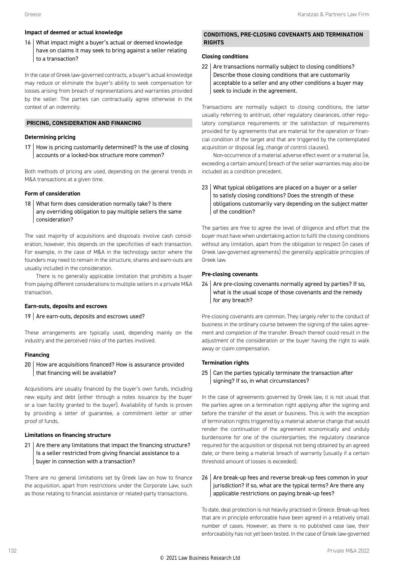#### **Impact of deemed or actual knowledge**

16 What impact might a buyer's actual or deemed knowledge have on claims it may seek to bring against a seller relating to a transaction?

In the case of Greek law-governed contracts, a buyer's actual knowledge may reduce or eliminate the buyer's ability to seek compensation for losses arising from breach of representations and warranties provided by the seller. The parties can contractually agree otherwise in the context of an indemnity.

#### **PRICING, CONSIDERATION AND FINANCING**

#### **Determining pricing**

17 | How is pricing customarily determined? Is the use of closing accounts or a locked-box structure more common?

Both methods of pricing are used, depending on the general trends in M&A transactions at a given time.

#### **Form of consideration**

18 What form does consideration normally take? Is there any overriding obligation to pay multiple sellers the same consideration?

The vast majority of acquisitions and disposals involve cash consideration; however, this depends on the specificities of each transaction. For example, in the case of M&A in the technology sector where the founders may need to remain in the structure, shares and earn-outs are usually included in the consideration.

There is no generally applicable limitation that prohibits a buyer from paying different considerations to multiple sellers in a private M&A transaction.

#### **Earn-outs, deposits and escrows**

#### $19$  Are earn-outs, deposits and escrows used?

These arrangements are typically used, depending mainly on the industry and the perceived risks of the parties involved.

#### **Financing**

20 How are acquisitions financed? How is assurance provided that financing will be available?

Acquisitions are usually financed by the buyer's own funds, including new equity and debt (either through a notes issuance by the buyer or a loan facility granted to the buyer). Availability of funds is proven by providing a letter of guarantee, a commitment letter or other proof of funds.

#### **Limitations on financing structure**

 $21$  Are there any limitations that impact the financing structure? Is a seller restricted from giving financial assistance to a buyer in connection with a transaction?

There are no general limitations set by Greek law on how to finance the acquisition, apart from restrictions under the Corporate Law, such as those relating to financial assistance or related-party transactions.

#### **CONDITIONS, PRE-CLOSING COVENANTS AND TERMINATION RIGHTS**

#### **Closing conditions**

22 | Are transactions normally subject to closing conditions? Describe those closing conditions that are customarily acceptable to a seller and any other conditions a buyer may seek to include in the agreement.

Transactions are normally subject to closing conditions, the latter usually referring to antitrust, other regulatory clearances, other regulatory compliance requirements or the satisfaction of requirements provided for by agreements that are material for the operation or financial condition of the target and that are triggered by the contemplated acquisition or disposal (eg, change of control clauses).

Non-occurrence of a material adverse effect event or a material (ie, exceeding a certain amount) breach of the seller warranties may also be included as a condition precedent.

#### 23 What typical obligations are placed on a buyer or a seller to satisfy closing conditions? Does the strength of these obligations customarily vary depending on the subject matter of the condition?

The parties are free to agree the level of diligence and effort that the buyer must have when undertaking action to fulfil the closing conditions without any limitation, apart from the obligation to respect (in cases of Greek law-governed agreements) the generally applicable principles of Greek law.

#### **Pre-closing covenants**

 $24$  Are pre-closing covenants normally agreed by parties? If so, what is the usual scope of those covenants and the remedy for any breach?

Pre-closing covenants are common. They largely refer to the conduct of business in the ordinary course between the signing of the sales agreement and completion of the transfer. Breach thereof could result in the adjustment of the consideration or the buyer having the right to walk away or claim compensation.

#### **Termination rights**

 $25$  Can the parties typically terminate the transaction after signing? If so, in what circumstances?

In the case of agreements governed by Greek law, it is not usual that the parties agree on a termination right applying after the signing and before the transfer of the asset or business. This is with the exception of termination rights triggered by a material adverse change that would render the continuation of the agreement economically and unduly burdensome for one of the counterparties; the regulatory clearance required for the acquisition or disposal not being obtained by an agreed date; or there being a material breach of warranty (usually if a certain threshold amount of losses is exceeded).

#### 26 Are break-up fees and reverse break-up fees common in your jurisdiction? If so, what are the typical terms? Are there any applicable restrictions on paying break-up fees?

To date, deal protection is not heavily practised in Greece. Break-up fees that are in principle enforceable have been agreed in a relatively small number of cases. However, as there is no published case law, their enforceability has not yet been tested. In the case of Greek law-governed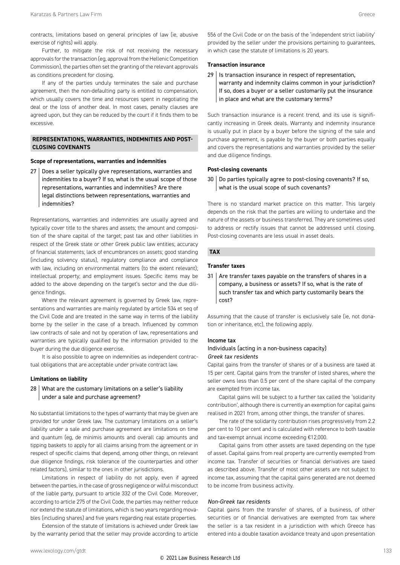contracts, limitations based on general principles of law (ie, abusive exercise of rights) will apply.

Further, to mitigate the risk of not receiving the necessary approvals for the transaction (eg, approval from the Hellenic Competition Commission), the parties often set the granting of the relevant approvals as conditions precedent for closing.

If any of the parties unduly terminates the sale and purchase agreement, then the non-defaulting party is entitled to compensation, which usually covers the time and resources spent in negotiating the deal or the loss of another deal. In most cases, penalty clauses are agreed upon, but they can be reduced by the court if it finds them to be excessive.

#### **REPRESENTATIONS, WARRANTIES, INDEMNITIES AND POST-CLOSING COVENANTS**

#### **Scope of representations, warranties and indemnities**

27 Does a seller typically give representations, warranties and indemnities to a buyer? If so, what is the usual scope of those representations, warranties and indemnities? Are there legal distinctions between representations, warranties and indemnities?

Representations, warranties and indemnities are usually agreed and typically cover title to the shares and assets; the amount and composition of the share capital of the target; past tax and other liabilities in respect of the Greek state or other Greek public law entities; accuracy of financial statements; lack of encumbrances on assets; good standing (including solvency status), regulatory compliance and compliance with law, including on environmental matters (to the extent relevant); intellectual property; and employment issues. Specific items may be added to the above depending on the target's sector and the due diligence findings.

Where the relevant agreement is governed by Greek law, representations and warranties are mainly regulated by article 534 et seq of the Civil Code and are treated in the same way in terms of the liability borne by the seller in the case of a breach. Influenced by common law contracts of sale and not by operation of law, representations and warranties are typically qualified by the information provided to the buyer during the due diligence exercise.

It is also possible to agree on indemnities as independent contractual obligations that are acceptable under private contract law.

#### **Limitations on liability**

#### 28 What are the customary limitations on a seller's liability under a sale and purchase agreement?

No substantial limitations to the types of warranty that may be given are provided for under Greek law. The customary limitations on a seller's liability under a sale and purchase agreement are limitations on time and quantum (eg, de minimis amounts and overall cap amounts and tipping baskets to apply for all claims arising from the agreement or in respect of specific claims that depend, among other things, on relevant due diligence findings, risk tolerance of the counterparties and other related factors), similar to the ones in other jurisdictions.

Limitations in respect of liability do not apply, even if agreed between the parties, in the case of gross negligence or wilful misconduct of the liable party, pursuant to article 332 of the Civil Code. Moreover, according to article 275 of the Civil Code, the parties may neither reduce nor extend the statute of limitations, which is two years regarding movables (including shares) and five years regarding real estate properties.

Extension of the statute of limitations is achieved under Greek law by the warranty period that the seller may provide according to article 556 of the Civil Code or on the basis of the 'independent strict liability' provided by the seller under the provisions pertaining to guarantees, in which case the statute of limitations is 20 years.

#### **Transaction insurance**

29 Is transaction insurance in respect of representation, warranty and indemnity claims common in your jurisdiction? If so, does a buyer or a seller customarily put the insurance in place and what are the customary terms?

Such transaction insurance is a recent trend, and its use is significantly increasing in Greek deals. Warranty and indemnity insurance is usually put in place by a buyer before the signing of the sale and purchase agreement, is payable by the buyer or both parties equally and covers the representations and warranties provided by the seller and due diligence findings.

#### **Post-closing covenants**

 $30$  Do parties typically agree to post-closing covenants? If so, what is the usual scope of such covenants?

There is no standard market practice on this matter. This largely depends on the risk that the parties are willing to undertake and the nature of the assets or business transferred. They are sometimes used to address or rectify issues that cannot be addressed until closing. Post-closing covenants are less usual in asset deals.

#### **TAX**

#### **Transfer taxes**

 $31$   $\vert$  Are transfer taxes payable on the transfers of shares in a company, a business or assets? If so, what is the rate of such transfer tax and which party customarily bears the cost?

Assuming that the cause of transfer is exclusively sale (ie, not donation or inheritance, etc), the following apply.

#### Income tax

#### Individuals (acting in a non-business capacity) *Greek tax residents*

Capital gains from the transfer of shares or of a business are taxed at 15 per cent. Capital gains from the transfer of listed shares, where the seller owns less than 0.5 per cent of the share capital of the company are exempted from income tax.

Capital gains will be subject to a further tax called the 'solidarity contribution', although there is currently an exemption for capital gains realised in 2021 from, among other things, the transfer of shares.

The rate of the solidarity contribution rises progressively from 2.2 per cent to 10 per cent and is calculated with reference to both taxable and tax-exempt annual income exceeding €12,000.

Capital gains from other assets are taxed depending on the type of asset. Capital gains from real property are currently exempted from income tax. Transfer of securities or financial derivatives are taxed as described above. Transfer of most other assets are not subject to income tax, assuming that the capital gains generated are not deemed to be income from business activity.

#### *Non-Greek tax residents*

Capital gains from the transfer of shares, of a business, of other securities or of financial derivatives are exempted from tax where the seller is a tax resident in a jurisdiction with which Greece has entered into a double taxation avoidance treaty and upon presentation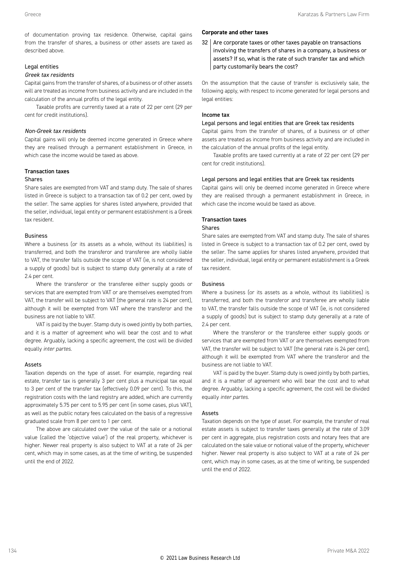of documentation proving tax residence. Otherwise, capital gains from the transfer of shares, a business or other assets are taxed as described above.

#### Legal entities

#### *Greek tax residents*

Capital gains from the transfer of shares, of a business or of other assets will are treated as income from business activity and are included in the calculation of the annual profits of the legal entity.

Taxable profits are currently taxed at a rate of 22 per cent (29 per cent for credit institutions).

#### *Non-Greek tax residents*

Capital gains will only be deemed income generated in Greece where they are realised through a permanent establishment in Greece, in which case the income would be taxed as above.

#### Transaction taxes

#### Shares

Share sales are exempted from VAT and stamp duty. The sale of shares listed in Greece is subject to a transaction tax of 0.2 per cent, owed by the seller. The same applies for shares listed anywhere, provided that the seller, individual, legal entity or permanent establishment is a Greek tax resident.

#### Business

Where a business (or its assets as a whole, without its liabilities) is transferred, and both the transferor and transferee are wholly liable to VAT, the transfer falls outside the scope of VAT (ie, is not considered a supply of goods) but is subject to stamp duty generally at a rate of 2.4 per cent.

Where the transferor or the transferee either supply goods or services that are exempted from VAT or are themselves exempted from VAT, the transfer will be subject to VAT (the general rate is 24 per cent), although it will be exempted from VAT where the transferor and the business are not liable to VAT.

VAT is paid by the buyer. Stamp duty is owed jointly by both parties, and it is a matter of agreement who will bear the cost and to what degree. Arguably, lacking a specific agreement, the cost will be divided equally *inter partes*.

#### Assets

Taxation depends on the type of asset. For example, regarding real estate, transfer tax is generally 3 per cent plus a municipal tax equal to 3 per cent of the transfer tax (effectively 0.09 per cent). To this, the registration costs with the land registry are added, which are currently approximately 5.75 per cent to 5.95 per cent (in some cases, plus VAT), as well as the public notary fees calculated on the basis of a regressive graduated scale from 8 per cent to 1 per cent.

The above are calculated over the value of the sale or a notional value (called the 'objective value') of the real property, whichever is higher. Newer real property is also subject to VAT at a rate of 24 per cent, which may in some cases, as at the time of writing, be suspended until the end of 2022.

#### **Corporate and other taxes**

 $32$  Are corporate taxes or other taxes payable on transactions involving the transfers of shares in a company, a business or assets? If so, what is the rate of such transfer tax and which party customarily bears the cost?

On the assumption that the cause of transfer is exclusively sale, the following apply, with respect to income generated for legal persons and legal entities:

#### Income tax

#### Legal persons and legal entities that are Greek tax residents

Capital gains from the transfer of shares, of a business or of other assets are treated as income from business activity and are included in the calculation of the annual profits of the legal entity.

Taxable profits are taxed currently at a rate of 22 per cent (29 per cent for credit institutions).

#### Legal persons and legal entities that are Greek tax residents

Capital gains will only be deemed income generated in Greece where they are realised through a permanent establishment in Greece, in which case the income would be taxed as above.

#### Transaction taxes

#### Shares

Share sales are exempted from VAT and stamp duty. The sale of shares listed in Greece is subject to a transaction tax of 0.2 per cent, owed by the seller. The same applies for shares listed anywhere, provided that the seller, individual, legal entity or permanent establishment is a Greek tax resident.

#### Business

Where a business (or its assets as a whole, without its liabilities) is transferred, and both the transferor and transferee are wholly liable to VAT, the transfer falls outside the scope of VAT (ie, is not considered a supply of goods) but is subject to stamp duty generally at a rate of 2.4 per cent.

Where the transferor or the transferee either supply goods or services that are exempted from VAT or are themselves exempted from VAT, the transfer will be subject to VAT (the general rate is 24 per cent), although it will be exempted from VAT where the transferor and the business are not liable to VAT.

VAT is paid by the buyer. Stamp duty is owed jointly by both parties, and it is a matter of agreement who will bear the cost and to what degree. Arguably, lacking a specific agreement, the cost will be divided equally *inter partes*.

#### Assets

Taxation depends on the type of asset. For example, the transfer of real estate assets is subject to transfer taxes generally at the rate of 3.09 per cent in aggregate, plus registration costs and notary fees that are calculated on the sale value or notional value of the property, whichever higher. Newer real property is also subject to VAT at a rate of 24 per cent, which may in some cases, as at the time of writing, be suspended until the end of 2022.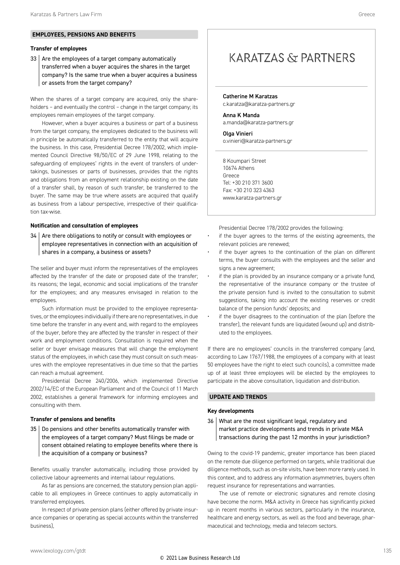#### **EMPLOYEES, PENSIONS AND BENEFITS**

#### **Transfer of employees**

33 Are the employees of a target company automatically transferred when a buyer acquires the shares in the target company? Is the same true when a buyer acquires a business or assets from the target company?

When the shares of a target company are acquired, only the shareholders – and eventually the control – change in the target company; its employees remain employees of the target company.

However, when a buyer acquires a business or part of a business from the target company, the employees dedicated to the business will in principle be automatically transferred to the entity that will acquire the business. In this case, Presidential Decree 178/2002, which implemented Council Directive 98/50/EC of 29 June 1998, relating to the safeguarding of employees' rights in the event of transfers of undertakings, businesses or parts of businesses, provides that the rights and obligations from an employment relationship existing on the date of a transfer shall, by reason of such transfer, be transferred to the buyer. The same may be true where assets are acquired that qualify as business from a labour perspective, irrespective of their qualification tax-wise.

#### **Notification and consultation of employees**

 $34$  Are there obligations to notify or consult with employees or employee representatives in connection with an acquisition of shares in a company, a business or assets?

The seller and buyer must inform the representatives of the employees affected by the transfer of the date or proposed date of the transfer; its reasons; the legal, economic and social implications of the transfer for the employees; and any measures envisaged in relation to the employees.

Such information must be provided to the employee representatives, or the employees individually if there are no representatives, in due time before the transfer in any event and, with regard to the employees of the buyer, before they are affected by the transfer in respect of their work and employment conditions. Consultation is required when the seller or buyer envisage measures that will change the employment status of the employees, in which case they must consult on such measures with the employee representatives in due time so that the parties can reach a mutual agreement.

Presidential Decree 240/2006, which implemented Directive 2002/14/EC of the European Parliament and of the Council of 11 March 2002, establishes a general framework for informing employees and consulting with them.

#### **Transfer of pensions and benefits**

35 | Do pensions and other benefits automatically transfer with the employees of a target company? Must filings be made or consent obtained relating to employee benefits where there is the acquisition of a company or business?

Benefits usually transfer automatically, including those provided by collective labour agreements and internal labour regulations.

As far as pensions are concerned, the statutory pension plan applicable to all employees in Greece continues to apply automatically in transferred employees.

In respect of private pension plans (either offered by private insurance companies or operating as special accounts within the transferred business),

#### **KARATZAS & PARTNERS**

#### Catherine M Karatzas c.karatza@karatza-partners.gr

Anna K Manda a.manda@karatza-partners.gr

Olga Vinieri o.vinieri@karatza-partners.gr

8 Koumpari Street 10674 Athens Greece Tel: +30 210 371 3600 Fax: +30 210 323 4363 www.karatza-partners.gr

Presidential Decree 178/2002 provides the following:

- if the buyer agrees to the terms of the existing agreements, the relevant policies are renewed;
- if the buyer agrees to the continuation of the plan on different terms, the buyer consults with the employees and the seller and signs a new agreement;
- if the plan is provided by an insurance company or a private fund, the representative of the insurance company or the trustee of the private pension fund is invited to the consultation to submit suggestions, taking into account the existing reserves or credit balance of the pension funds' deposits; and
- if the buyer disagrees to the continuation of the plan (before the transfer), the relevant funds are liquidated (wound up) and distributed to the employees.

If there are no employees' councils in the transferred company (and, according to Law 1767/1988, the employees of a company with at least 50 employees have the right to elect such councils), a committee made up of at least three employees will be elected by the employees to participate in the above consultation, liquidation and distribution.

#### **UPDATE AND TRENDS**

#### **Key developments**

36 What are the most significant legal, regulatory and market practice developments and trends in private M&A transactions during the past 12 months in your jurisdiction?

Owing to the covid-19 pandemic, greater importance has been placed on the remote due diligence performed on targets, while traditional due diligence methods, such as on-site visits, have been more rarely used. In this context, and to address any information asymmetries, buyers often request insurance for representations and warranties.

The use of remote or electronic signatures and remote closing have become the norm. M&A activity in Greece has significantly picked up in recent months in various sectors, particularly in the insurance, healthcare and energy sectors, as well as the food and beverage, pharmaceutical and technology, media and telecom sectors.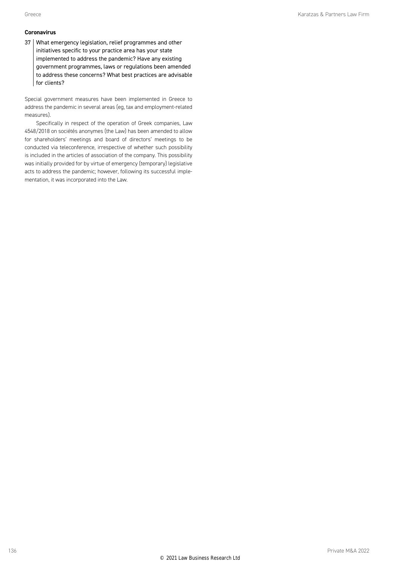#### **Coronavirus**

37 What emergency legislation, relief programmes and other initiatives specific to your practice area has your state implemented to address the pandemic? Have any existing government programmes, laws or regulations been amended to address these concerns? What best practices are advisable for clients?

Special government measures have been implemented in Greece to address the pandemic in several areas (eg, tax and employment-related measures).

Specifically in respect of the operation of Greek companies, Law 4548/2018 on sociétés anonymes (the Law) has been amended to allow for shareholders' meetings and board of directors' meetings to be conducted via teleconference, irrespective of whether such possibility is included in the articles of association of the company. This possibility was initially provided for by virtue of emergency (temporary) legislative acts to address the pandemic; however, following its successful implementation, it was incorporated into the Law.